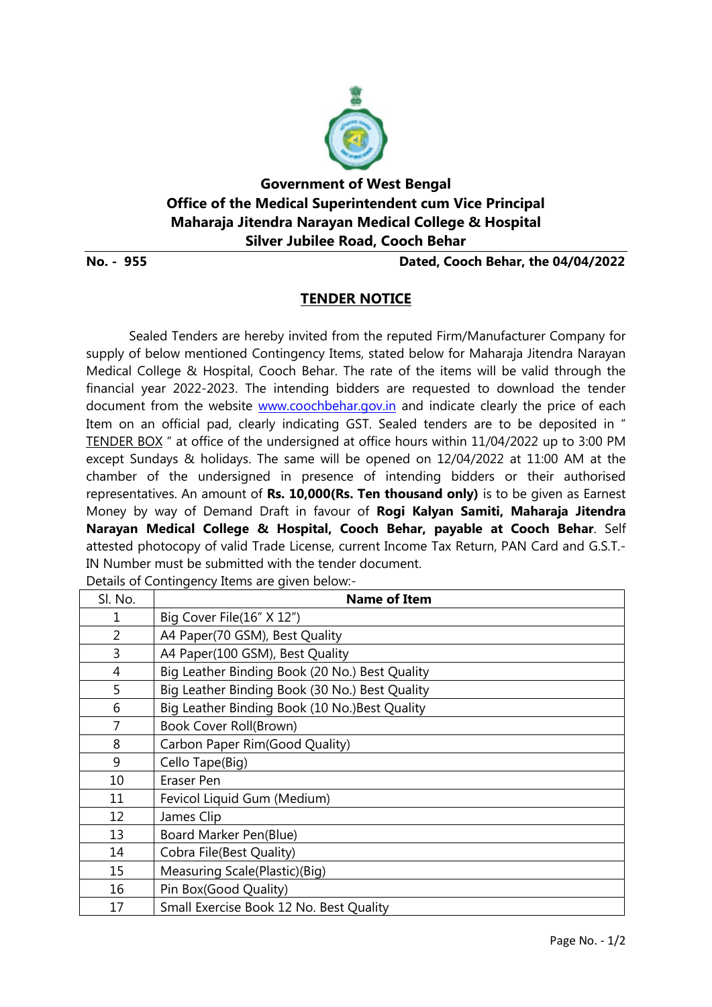

## **Government of West Bengal Office of the Medical Superintendent cum Vice Principal Maharaja Jitendra Narayan Medical College & Hospital Silver Jubilee Road, Cooch Behar**

**No. - 955 Dated, Cooch Behar, the 04/04/2022**

## **TENDER NOTICE**

Sealed Tenders are hereby invited from the reputed Firm/Manufacturer Company for supply of below mentioned Contingency Items, stated below for Maharaja Jitendra Narayan Medical College & Hospital, Cooch Behar. The rate of the items will be valid through the financial year 2022-2023. The intending bidders are requested to download the tender document from the website [www.coochbehar.gov.in](http://www.coochbehar.gov.in/) and indicate clearly the price of each Item on an official pad, clearly indicating GST. Sealed tenders are to be deposited in " TENDER BOX " at office of the undersigned at office hours within 11/04/2022 up to 3:00 PM except Sundays & holidays. The same will be opened on 12/04/2022 at 11:00 AM at the chamber of the undersigned in presence of intending bidders or their authorised representatives. An amount of **Rs. 10,000(Rs. Ten thousand only)** is to be given as Earnest Money by way of Demand Draft in favour of **Rogi Kalyan Samiti, Maharaja Jitendra Narayan Medical College & Hospital, Cooch Behar, payable at Cooch Behar**. Self attested photocopy of valid Trade License, current Income Tax Return, PAN Card and G.S.T.- IN Number must be submitted with the tender document. Details of Contingency Items are given below-

| Sl. No. | <b>Name of Item</b>                            |
|---------|------------------------------------------------|
| 1       | Big Cover File(16" X 12")                      |
| 2       | A4 Paper(70 GSM), Best Quality                 |
| 3       | A4 Paper(100 GSM), Best Quality                |
| 4       | Big Leather Binding Book (20 No.) Best Quality |
| 5       | Big Leather Binding Book (30 No.) Best Quality |
| 6       | Big Leather Binding Book (10 No.) Best Quality |
| 7       | <b>Book Cover Roll(Brown)</b>                  |
| 8       | Carbon Paper Rim(Good Quality)                 |
| 9       | Cello Tape(Big)                                |
| 10      | Eraser Pen                                     |
| 11      | Fevicol Liquid Gum (Medium)                    |
| 12      | James Clip                                     |
| 13      | Board Marker Pen(Blue)                         |
| 14      | Cobra File(Best Quality)                       |
| 15      | Measuring Scale(Plastic)(Big)                  |
| 16      | Pin Box(Good Quality)                          |
| 17      | Small Exercise Book 12 No. Best Quality        |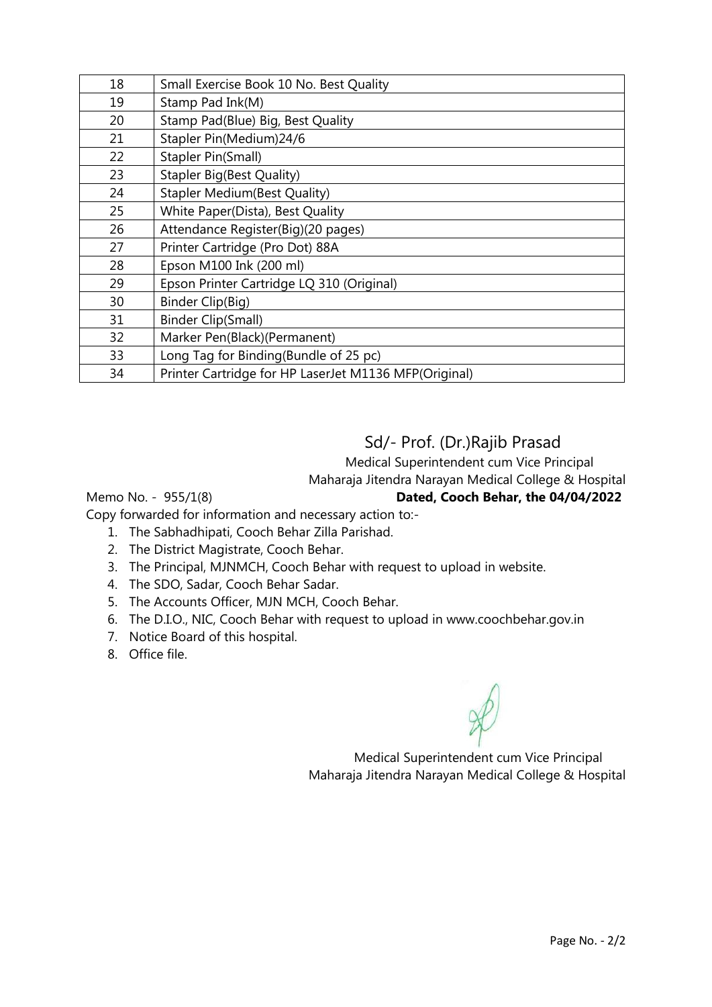| 18 | Small Exercise Book 10 No. Best Quality               |
|----|-------------------------------------------------------|
| 19 | Stamp Pad Ink(M)                                      |
| 20 | Stamp Pad(Blue) Big, Best Quality                     |
| 21 | Stapler Pin(Medium)24/6                               |
| 22 | Stapler Pin(Small)                                    |
| 23 | <b>Stapler Big(Best Quality)</b>                      |
| 24 | <b>Stapler Medium (Best Quality)</b>                  |
| 25 | White Paper(Dista), Best Quality                      |
| 26 | Attendance Register(Big)(20 pages)                    |
| 27 | Printer Cartridge (Pro Dot) 88A                       |
| 28 | Epson M100 Ink (200 ml)                               |
| 29 | Epson Printer Cartridge LQ 310 (Original)             |
| 30 | Binder Clip(Big)                                      |
| 31 | <b>Binder Clip(Small)</b>                             |
| 32 | Marker Pen(Black)(Permanent)                          |
| 33 | Long Tag for Binding (Bundle of 25 pc)                |
| 34 | Printer Cartridge for HP LaserJet M1136 MFP(Original) |

## Sd/- Prof. (Dr.)Rajib Prasad

 Medical Superintendent cum Vice Principal Maharaja Jitendra Narayan Medical College & Hospital

Memo No. - 955/1(8) **Dated, Cooch Behar, the 04/04/2022**

Copy forwarded for information and necessary action to:-

- 1. The Sabhadhipati, Cooch Behar Zilla Parishad.
- 2. The District Magistrate, Cooch Behar.
- 3. The Principal, MJNMCH, Cooch Behar with request to upload in website.
- 4. The SDO, Sadar, Cooch Behar Sadar.
- 5. The Accounts Officer, MJN MCH, Cooch Behar.
- 6. The D.I.O., NIC, Cooch Behar with request to upload in www.coochbehar.gov.in
- 7. Notice Board of this hospital.
- 8. Office file.

 Medical Superintendent cum Vice Principal Maharaja Jitendra Narayan Medical College & Hospital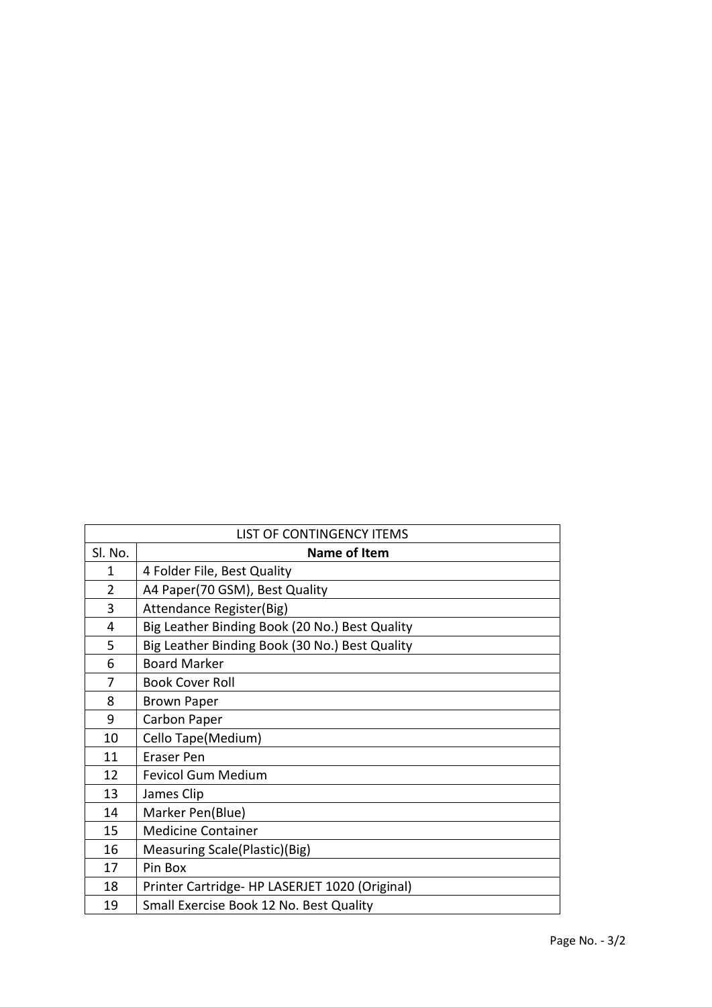| LIST OF CONTINGENCY ITEMS |                                                |  |
|---------------------------|------------------------------------------------|--|
| Sl. No.                   | <b>Name of Item</b>                            |  |
| 1                         | 4 Folder File, Best Quality                    |  |
| 2                         | A4 Paper(70 GSM), Best Quality                 |  |
| 3                         | Attendance Register(Big)                       |  |
| 4                         | Big Leather Binding Book (20 No.) Best Quality |  |
| 5                         | Big Leather Binding Book (30 No.) Best Quality |  |
| 6                         | <b>Board Marker</b>                            |  |
| 7                         | <b>Book Cover Roll</b>                         |  |
| 8                         | <b>Brown Paper</b>                             |  |
| 9                         | Carbon Paper                                   |  |
| 10                        | Cello Tape(Medium)                             |  |
| 11                        | <b>Eraser Pen</b>                              |  |
| 12                        | <b>Fevicol Gum Medium</b>                      |  |
| 13                        | James Clip                                     |  |
| 14                        | Marker Pen(Blue)                               |  |
| 15                        | <b>Medicine Container</b>                      |  |
| 16                        | Measuring Scale(Plastic)(Big)                  |  |
| 17                        | Pin Box                                        |  |
| 18                        | Printer Cartridge- HP LASERJET 1020 (Original) |  |
| 19                        | Small Exercise Book 12 No. Best Quality        |  |